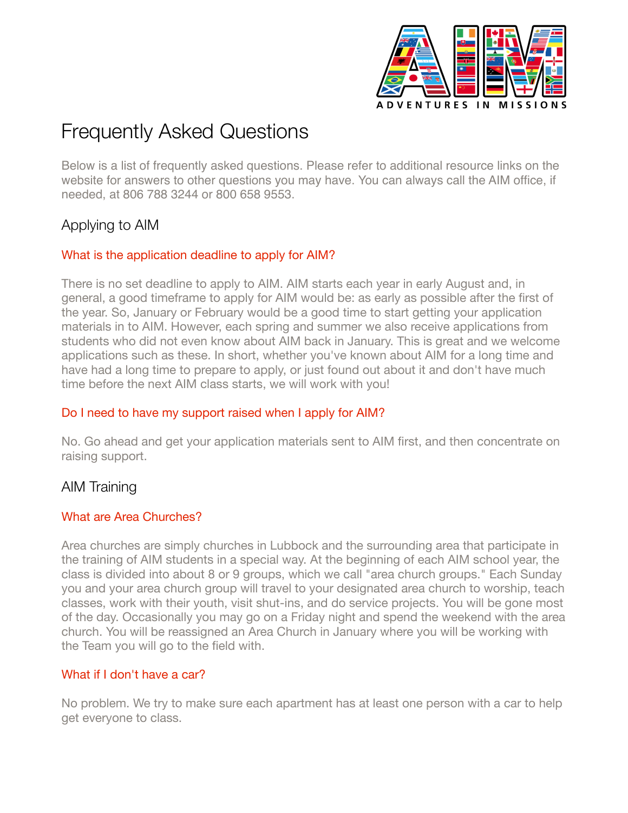

# Frequently Asked Questions

Below is a list of frequently asked questions. Please refer to additional resource links on the website for answers to other questions you may have. You can always call the AIM office, if needed, at 806 788 3244 or 800 658 9553.

# Applying to AIM

# What is the application deadline to apply for AIM?

There is no set deadline to apply to AIM. AIM starts each year in early August and, in general, a good timeframe to apply for AIM would be: as early as possible after the first of the year. So, January or February would be a good time to start getting your application materials in to AIM. However, each spring and summer we also receive applications from students who did not even know about AIM back in January. This is great and we welcome applications such as these. In short, whether you've known about AIM for a long time and have had a long time to prepare to apply, or just found out about it and don't have much time before the next AIM class starts, we will work with you!

# Do I need to have my support raised when I apply for AIM?

No. Go ahead and get your application materials sent to AIM first, and then concentrate on raising support.

# AIM Training

# What are Area Churches?

Area churches are simply churches in Lubbock and the surrounding area that participate in the training of AIM students in a special way. At the beginning of each AIM school year, the class is divided into about 8 or 9 groups, which we call "area church groups." Each Sunday you and your area church group will travel to your designated area church to worship, teach classes, work with their youth, visit shut-ins, and do service projects. You will be gone most of the day. Occasionally you may go on a Friday night and spend the weekend with the area church. You will be reassigned an Area Church in January where you will be working with the Team you will go to the field with.

# What if I don't have a car?

No problem. We try to make sure each apartment has at least one person with a car to help get everyone to class.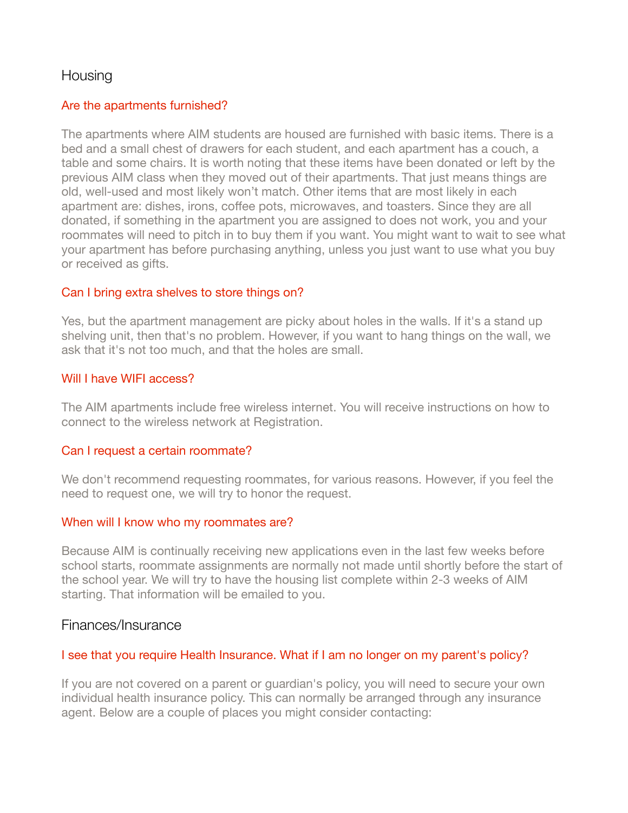# **Housing**

#### Are the apartments furnished?

The apartments where AIM students are housed are furnished with basic items. There is a bed and a small chest of drawers for each student, and each apartment has a couch, a table and some chairs. It is worth noting that these items have been donated or left by the previous AIM class when they moved out of their apartments. That just means things are old, well-used and most likely won't match. Other items that are most likely in each apartment are: dishes, irons, coffee pots, microwaves, and toasters. Since they are all donated, if something in the apartment you are assigned to does not work, you and your roommates will need to pitch in to buy them if you want. You might want to wait to see what your apartment has before purchasing anything, unless you just want to use what you buy or received as gifts.

#### Can I bring extra shelves to store things on?

Yes, but the apartment management are picky about holes in the walls. If it's a stand up shelving unit, then that's no problem. However, if you want to hang things on the wall, we ask that it's not too much, and that the holes are small.

#### Will I have WIFI access?

The AIM apartments include free wireless internet. You will receive instructions on how to connect to the wireless network at Registration.

#### Can I request a certain roommate?

We don't recommend requesting roommates, for various reasons. However, if you feel the need to request one, we will try to honor the request.

#### When will I know who my roommates are?

Because AIM is continually receiving new applications even in the last few weeks before school starts, roommate assignments are normally not made until shortly before the start of the school year. We will try to have the housing list complete within 2-3 weeks of AIM starting. That information will be emailed to you.

# Finances/Insurance

# I see that you require Health Insurance. What if I am no longer on my parent's policy?

If you are not covered on a parent or guardian's policy, you will need to secure your own individual health insurance policy. This can normally be arranged through any insurance agent. Below are a couple of places you might consider contacting: